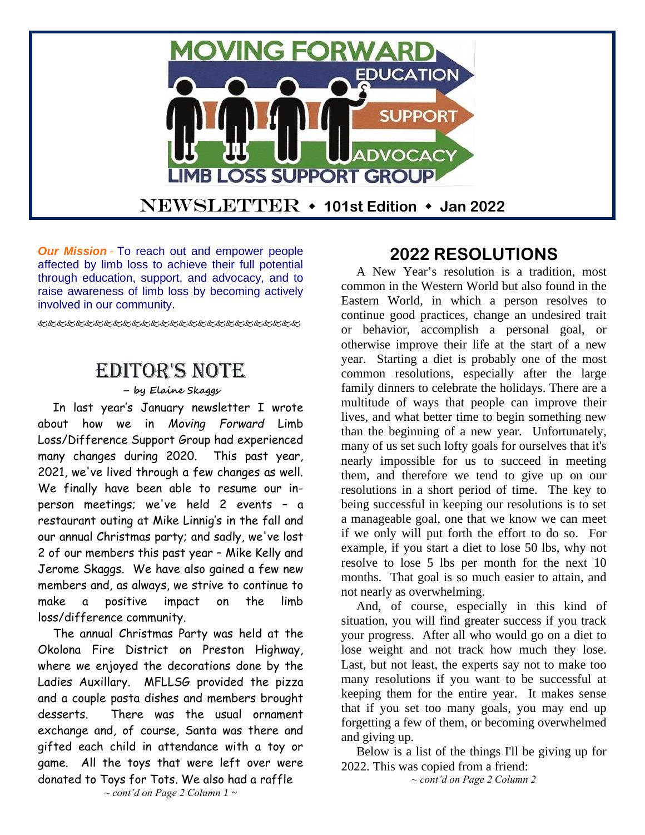

*Our Mission* - To reach out and empower people affected by limb loss to achieve their full potential through education, support, and advocacy, and to raise awareness of limb loss by becoming actively involved in our community.

دی.<br>دستگار می دستگار می دستگار می دستگار می دستگار می دستگار می دستگار می دستگار می دستگار می دستگار می دستگار می د

# Editor's Note

#### **– by Elaine Skaggs**

In last year's January newsletter I wrote about how we in *Moving Forward* Limb Loss/Difference Support Group had experienced many changes during 2020. This past year, 2021, we've lived through a few changes as well. We finally have been able to resume our inperson meetings; we've held 2 events – a restaurant outing at Mike Linnig's in the fall and our annual Christmas party; and sadly, we've lost 2 of our members this past year – Mike Kelly and Jerome Skaggs. We have also gained a few new members and, as always, we strive to continue to make a positive impact on the limb loss/difference community.

The annual Christmas Party was held at the Okolona Fire District on Preston Highway, where we enjoyed the decorations done by the Ladies Auxillary. MFLLSG provided the pizza and a couple pasta dishes and members brought desserts. There was the usual ornament exchange and, of course, Santa was there and gifted each child in attendance with a toy or game. All the toys that were left over were donated to Toys for Tots. We also had a raffle

# **2022 RESOLUTIONS**

A New Year's resolution is a tradition, most common in the Western World but also found in the Eastern World, in which a person resolves to continue good practices, change an undesired trait or behavior, accomplish a personal goal, or otherwise improve their life at the start of a new year. Starting a diet is probably one of the most common resolutions, especially after the large family dinners to celebrate the holidays. There are a multitude of ways that people can improve their lives, and what better time to begin something new than the beginning of a new year. Unfortunately, many of us set such lofty goals for ourselves that it's nearly impossible for us to succeed in meeting them, and therefore we tend to give up on our resolutions in a short period of time. The key to being successful in keeping our resolutions is to set a manageable goal, one that we know we can meet if we only will put forth the effort to do so. For example, if you start a diet to lose 50 lbs, why not resolve to lose 5 lbs per month for the next 10 months. That goal is so much easier to attain, and not nearly as overwhelming.

And, of course, especially in this kind of situation, you will find greater success if you track your progress. After all who would go on a diet to lose weight and not track how much they lose. Last, but not least, the experts say not to make too many resolutions if you want to be successful at keeping them for the entire year. It makes sense that if you set too many goals, you may end up forgetting a few of them, or becoming overwhelmed and giving up.

Below is a list of the things I'll be giving up for 2022. This was copied from a friend:

*~ cont'd on Page 2 Column 2*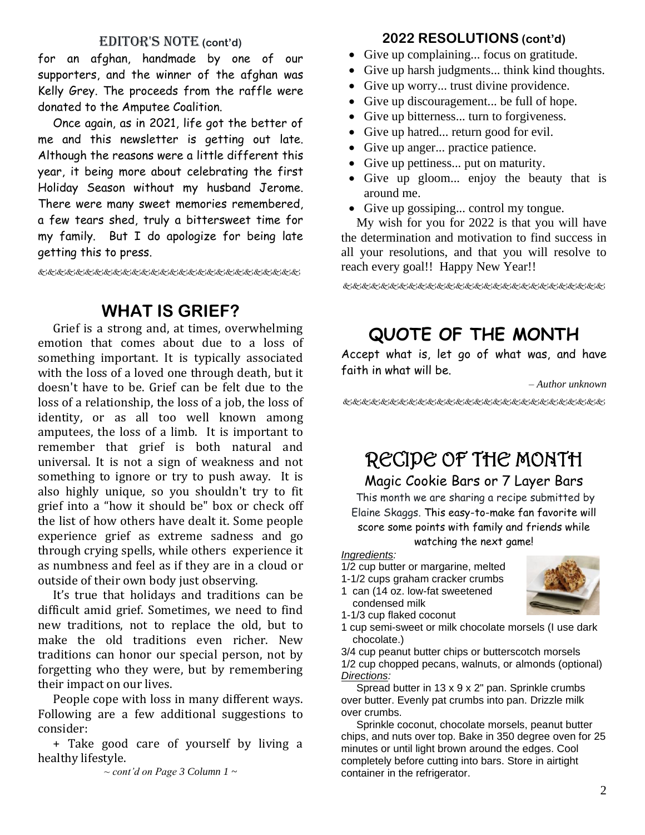#### EDITOR'S NOTE (cont'd)

for an afghan, handmade by one of our supporters, and the winner of the afghan was Kelly Grey. The proceeds from the raffle were donated to the Amputee Coalition.

Once again, as in 2021, life got the better of me and this newsletter is getting out late. Although the reasons were a little different this year, it being more about celebrating the first Holiday Season without my husband Jerome. There were many sweet memories remembered, a few tears shed, truly a bittersweet time for my family. But I do apologize for being late getting this to press.

好好好的名词名字名字名字名字名字名字名字名字名字名字

## **WHAT IS GRIEF?**

Grief is a strong and, at times, overwhelming emotion that comes about due to a loss of something important. It is typically associated with the loss of a loved one through death, but it doesn't have to be. Grief can be felt due to the loss of a relationship, the loss of a job, the loss of identity, or as all too well known among amputees, the loss of a limb. It is important to remember that grief is both natural and universal. It is not a sign of weakness and not something to ignore or try to push away. It is also highly unique, so you shouldn't try to fit grief into a "how it should be" box or check off the list of how others have dealt it. Some people experience grief as extreme sadness and go through crying spells, while others experience it as numbness and feel as if they are in a cloud or outside of their own body just observing.

It's true that holidays and traditions can be difficult amid grief. Sometimes, we need to find new traditions, not to replace the old, but to make the old traditions even richer. New traditions can honor our special person, not by forgetting who they were, but by remembering their impact on our lives.

People cope with loss in many different ways. Following are a few additional suggestions to consider:

+ Take good care of yourself by living a healthy lifestyle.

*~ cont'd on Page 3 Column 1 ~*

#### **2022 RESOLUTIONS (cont'd)**

- Give up complaining... focus on gratitude.
- Give up harsh judgments... think kind thoughts.
- Give up worry... trust divine providence.
- Give up discouragement... be full of hope.
- Give up bitterness... turn to forgiveness.
- Give up hatred... return good for evil.
- Give up anger... practice patience.
- Give up pettiness... put on maturity.
- Give up gloom... enjoy the beauty that is around me.
- Give up gossiping... control my tongue.

My wish for you for 2022 is that you will have the determination and motivation to find success in all your resolutions, and that you will resolve to reach every goal!! Happy New Year!!

EEEEEEEEEEEEEEEEEEEEEEEEEEEEEEEE

# **QUOTE OF THE MONTH**

Accept what is, let go of what was, and have faith in what will be.

*– Author unknown*

ERERRERERERERERERERERERERERE

# RECIPE OF THE MONTH

Magic Cookie Bars or 7 Layer Bars

This month we are sharing a recipe submitted by Elaine Skaggs. This easy-to-make fan favorite will score some points with family and friends while watching the next game!

#### *Ingredients:*

- 1/2 cup butter or margarine, melted
- 1-1/2 cups graham cracker crumbs
- 1 can (14 oz. low-fat sweetened condensed milk
- 1-1/3 cup flaked coconut
- 1 cup semi-sweet or milk chocolate morsels (I use dark chocolate.)

3/4 cup peanut butter chips or butterscotch morsels 1/2 cup chopped pecans, walnuts, or almonds (optional) *Directions:*

Spread butter in 13 x 9 x 2" pan. Sprinkle crumbs over butter. Evenly pat crumbs into pan. Drizzle milk over crumbs.

Sprinkle coconut, chocolate morsels, peanut butter chips, and nuts over top. Bake in 350 degree oven for 25 minutes or until light brown around the edges. Cool completely before cutting into bars. Store in airtight container in the refrigerator.

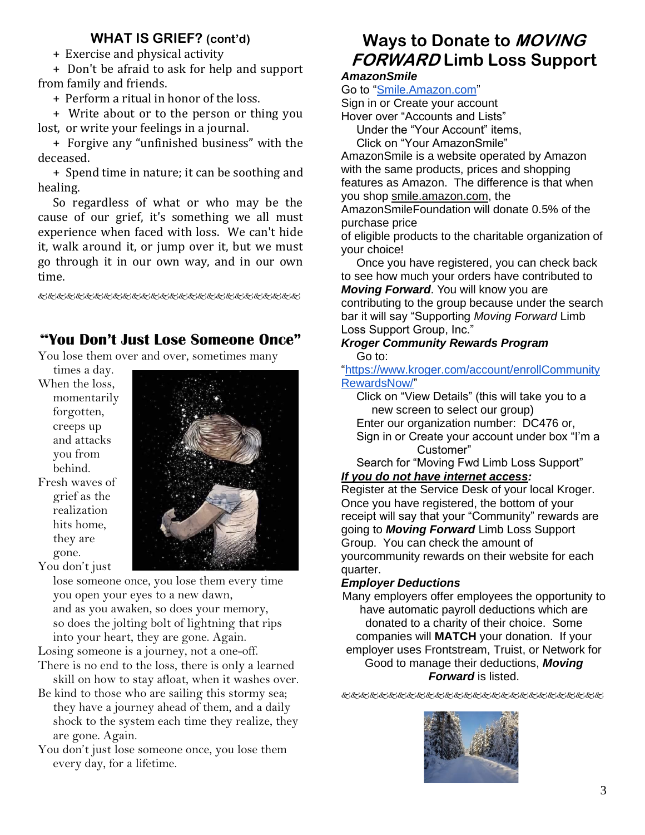## **WHAT IS GRIEF? (cont'd)**

+ Exercise and physical activity

+ Don't be afraid to ask for help and support from family and friends.

+ Perform a ritual in honor of the loss.

+ Write about or to the person or thing you lost, or write your feelings in a journal.

+ Forgive any "unfinished business" with the deceased.

+ Spend time in nature; it can be soothing and healing.

So regardless of what or who may be the cause of our grief, it's something we all must experience when faced with loss. We can't hide it, walk around it, or jump over it, but we must go through it in our own way, and in our own time.

&&&&&&&&&&&&&&&&&&&&&&&&

## "**You Don't Just Lose Someone Once"**

You lose them over and over, sometimes many

times a day. When the loss, momentarily forgotten, creeps up and attacks you from behind. Fresh waves of grief as the realization hits home, they are gone. You don't just



lose someone once, you lose them every time you open your eyes to a new dawn, and as you awaken, so does your memory, so does the jolting bolt of lightning that rips into your heart, they are gone. Again.

Losing someone is a journey, not a one-off.

- There is no end to the loss, there is only a learned skill on how to stay afloat, when it washes over.
- Be kind to those who are sailing this stormy sea; they have a journey ahead of them, and a daily shock to the system each time they realize, they are gone. Again.
- You don't just lose someone once, you lose them every day, for a lifetime.

## **Ways to Donate to MOVING FORWARD Limb Loss Support** *AmazonSmile*

# Go to ["Smile.Amazon.com"](https://smile.amazon.com/ap/signin?_encoding=UTF8&openid.assoc_handle=amzn_smile_mobile&openid.claimed_id=http%3A%2F%2Fspecs.openid.net%2Fauth%2F2.0%2Fidentifier_select&openid.identity=http%3A%2F%2Fspecs.openid.net%2Fauth%2F2.0%2Fidentifier_select&openid.mode=checkid_setup&openid.ns=http%3A%2F%2Fspecs.openid.net%2Fauth%2F2.0&openid.ns.pape=http%3A%2F%2Fspecs.openid.net%2Fextensions%2Fpape%2F1.0&openid.pape.max_auth_age=0&openid.return_to=https%3A%2F%2Fsmile.amazon.com%2Fgp%2Faw%2Fch%2Fhomepage)

Sign in or Create your account

Hover over "Accounts and Lists"

Under the "Your Account" items,

Click on "Your AmazonSmile"

AmazonSmile is a website operated by Amazon with the same products, prices and shopping features as Amazon. The difference is that when you shop smile.amazon.com, the

AmazonSmileFoundation will donate 0.5% of the purchase price

of eligible products to the charitable organization of your choice!

Once you have registered, you can check back to see how much your orders have contributed to *Moving Forward*. You will know you are contributing to the group because under the search bar it will say "Supporting *Moving Forward* Limb Loss Support Group, Inc."

#### *Kroger Community Rewards Program* Go to:

["https://www.kroger.com/account/enrollCommunity](https://www.kroger.com/account/enrollCommunityRewardsNow/) [RewardsNow/"](https://www.kroger.com/account/enrollCommunityRewardsNow/)

Click on "View Details" (this will take you to a new screen to select our group)

Enter our organization number: DC476 or,

Sign in or Create your account under box "I'm a Customer"

Search for "Moving Fwd Limb Loss Support" *If you do not have internet access:*

Register at the Service Desk of your local Kroger. Once you have registered, the bottom of your receipt will say that your "Community" rewards are going to *Moving Forward* Limb Loss Support Group. You can check the amount of yourcommunity rewards on their website for each quarter.

### *Employer Deductions*

Many employers offer employees the opportunity to have automatic payroll deductions which are donated to a charity of their choice. Some companies will **MATCH** your donation. If your employer uses Frontstream, Truist, or Network for Good to manage their deductions, *Moving Forward* is listed.

发达的比比比比比比比比比比比比比比比比比比比比比比